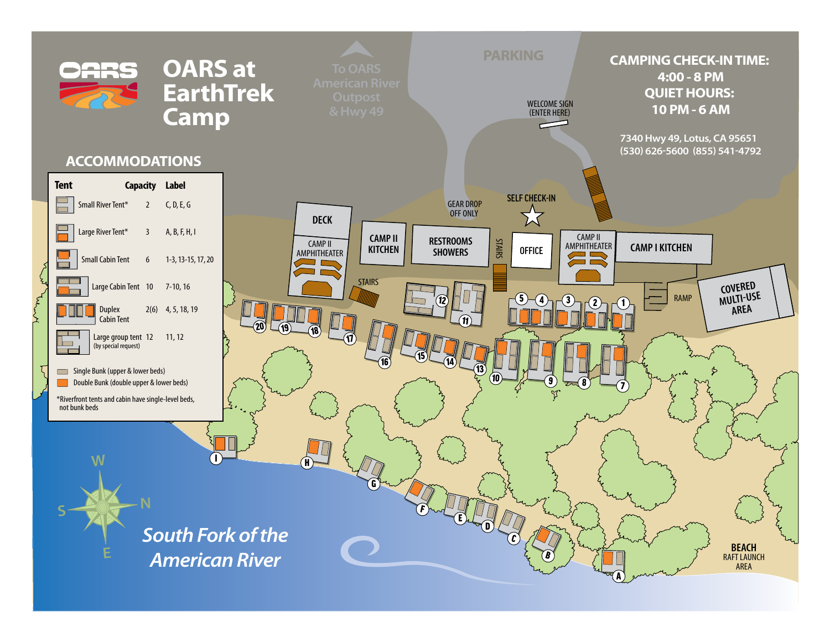